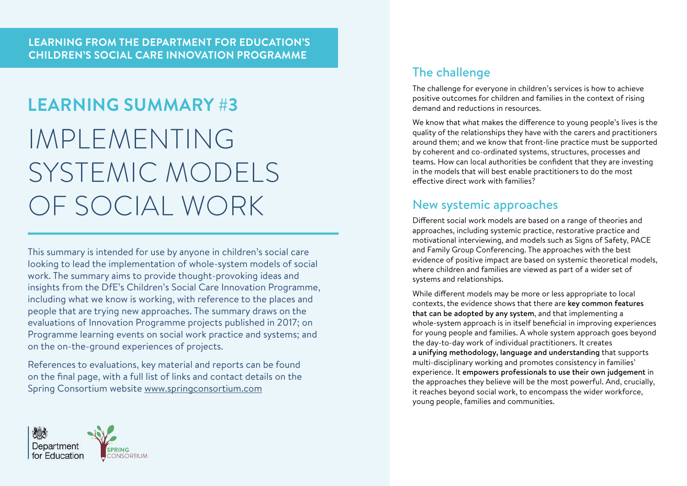# **LEARNING SUMMARY #3** IMPLEMENTING SYSTEMIC MODELS OF SOCIAL WORK New systemic approaches

This summary is intended for use by anyone in children's social care looking to lead the implementation of whole-system models of social work. The summary aims to provide thought-provoking ideas and insights from the DfE's Children's Social Care Innovation Programme, including what we know is working, with reference to the places and people that are trying new approaches. The summary draws on the evaluations of Innovation Programme projects published in 2017; on Programme learning events on social work practice and systems; and on the on-the-ground experiences of projects.

References to evaluations, key material and reports can be found on the final page, with a full list of links and contact details on the Spring Consortium website www.springconsortium.com



The challenge for everyone in children's services is how to achieve positive outcomes for children and families in the context of rising demand and reductions in resources.

We know that what makes the difference to young people's lives is the quality of the relationships they have with the carers and practitioners around them; and we know that front-line practice must be supported by coherent and co-ordinated systems, structures, processes and teams. How can local authorities be confident that they are investing in the models that will best enable practitioners to do the most effective direct work with families?

Different social work models are based on a range of theories and approaches, including systemic practice, restorative practice and motivational interviewing, and models such as Signs of Safety, PACE and Family Group Conferencing. The approaches with the best evidence of positive impact are based on systemic theoretical models, where children and families are viewed as part of a wider set of systems and relationships.

While different models may be more or less appropriate to local contexts, the evidence shows that there are key common features that can be adopted by any system, and that implementing a whole-system approach is in itself beneficial in improving experiences for young people and families. A whole system approach goes beyond the day-to-day work of individual practitioners. It creates a unifying methodology, language and understanding that supports multi-disciplinary working and promotes consistency in families' experience. It empowers professionals to use their own judgement in the approaches they believe will be the most powerful. And, crucially, it reaches beyond social work, to encompass the wider workforce, young people, families and communities.

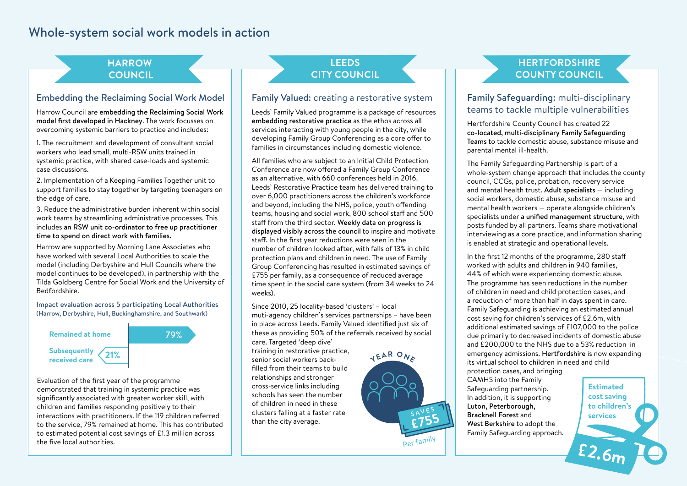# Whole-system social work models in action

#### **HARROW COUNCIL**

#### Embedding the Reclaiming Social Work Model

Harrow Council are embedding the Reclaiming Social Work model first developed in Hackney. The work focusses on overcoming systemic barriers to practice and includes:

1. The recruitment and development of consultant social workers who lead small, multi-RSW units trained in systemic practice, with shared case-loads and systemic case discussions.

2. Implementation of a Keeping Families Together unit to support families to stay together by targeting teenagers on the edge of care.

3. Reduce the administrative burden inherent within social work teams by streamlining administrative processes. This includes an RSW unit co-ordinator to free up practitioner time to spend on direct work with families.

Harrow are supported by Morning Lane Associates who have worked with several Local Authorities to scale the model (including Derbyshire and Hull Councils where the model continues to be developed), in partnership with the Tilda Goldberg Centre for Social Work and the University of Bedfordshire.

Impact evaluation across 5 participating Local Authorities (Harrow, Derbyshire, Hull, Buckinghamshire, and Southwark)



more<br>More visits<br>More visits to the service, 79% remained at home. This has contributed<br>to estimated potential cost savings of £1.3 million across Evaluation of the first year of the programme demonstrated that training in systemic practice was significantly associated with greater worker skill, with children and families responding positively to their interactions with practitioners. If the 119 children referred to estimated potential cost savings of £1.3 million across the five local authorities. **Repeat MARAC** 

#### **LEEDS CITY COUNCIL**

#### Family Valued: creating a restorative system

Leeds' Family Valued programme is a package of resources embedding restorative practice as the ethos across all services interacting with young people in the city, while developing Family Group Conferencing as a core offer to families in circumstances including domestic violence.

All families who are subject to an Initial Child Protection Conference are now offered a Family Group Conference as an alternative, with 660 conferences held in 2016. Leeds' Restorative Practice team has delivered training to over 6,000 practitioners across the children's workforce and beyond, including the NHS, police, youth offending teams, housing and social work, 800 school staff and 500 staff from the third sector. Weekly data on progress is displayed visibly across the council to inspire and motivate staff. In the first year reductions were seen in the number of children looked after, with falls of 13% in child protection plans and children in need. The use of Family Group Conferencing has resulted in estimated savings of £755 per family, as a consequence of reduced average time spent in the social care system (from 34 weeks to 24 weeks).

Since 2010, 25 locality-based 'clusters' – local muti-agency children's services partnerships – have been **<sup>1</sup>00% <sup>o</sup><sup>f</sup> <sup>f</sup>amilie<sup>s</sup>** in place across Leeds. Family Valued identified just six of these as providing 50% of the referrals received by social care. Targeted 'deep dive'

training in restorative practice, senior social workers backfilled from their teams to build relationships and stronger cross-service links including was cross-service miks including<br>with schools has seen the number of children in need in these clusters falling at a faster rate than the city average.



### **HERTFORDSHIRE COUNTY COUNCIL**

#### Family Safeguarding: multi-disciplinary teams to tackle multiple vulnerabilities

Hertfordshire County Council has created 22 co-located, multi-disciplinary Family Safeguarding Teams to tackle domestic abuse, substance misuse and parental mental ill-health.

The Family Safeguarding Partnership is part of a whole-system change approach that includes the county council, CCGs, police, probation, recovery service and mental health trust. Adult specialists — including social workers, domestic abuse, substance misuse and mental health workers — operate alongside children's specialists under a unified management structure, with posts funded by all partners. Teams share motivational interviewing as a core practice, and information sharing is enabled at strategic and operational levels.

**R Remained At the Family Group Conference in Let in Let in Let in Let in Let in Let in Let in Let in Let in Let in Let in Let in Let in Let in Let in Let in Let in Let in Let in Let in Let in Let in Let in Let in Let in** protection cases, and bringing<br>CAMUS **CAR** In the first 12 months of the programme, 280 staff worked with adults and children in 940 families, 44% of which were experiencing domestic abuse. The programme has seen reductions in the number of children in need and child protection cases, and a reduction of more than half in days spent in care. Family Safeguarding is achieving an estimated annual cost saving for children's services of £2.6m, with additional estimated savings of £107,000 to the police due primarily to decreased incidents of domestic abuse and £200,000 to the NHS due to a 53% reduction in its virtual school to children in need and child

CAMHS into the Family **101 b b Example 2 Conserved Berkshire** to adopt the Safeguarding partnership. In addition, it is supporting Luton, Peterborough, Bracknell Forest and Family Safeguarding approach.

**feature DVA £2.6m Estimated cost saving to children's services**

more visits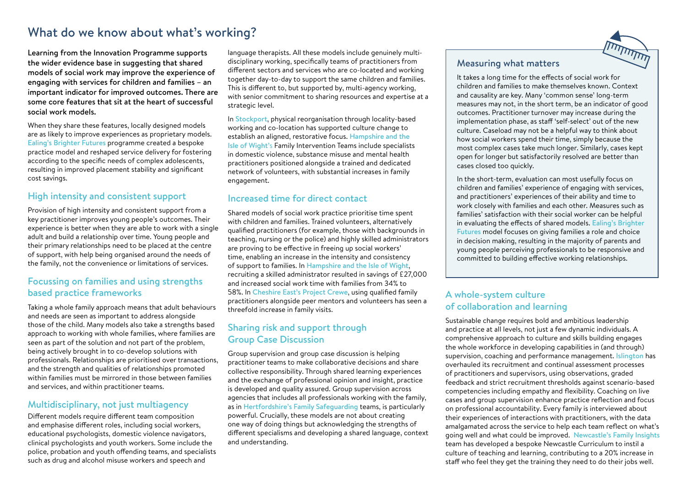# What do we know about what's working?

Learning from the Innovation Programme supports the wider evidence base in suggesting that shared models of social work may improve the experience of engaging with services for children and families – an important indicator for improved outcomes. There are some core features that sit at the heart of successful social work models.

When they share these features, locally designed models are as likely to improve experiences as proprietary models. Ealing's Brighter Futures programme created a bespoke practice model and reshaped service delivery for fostering according to the specific needs of complex adolescents, resulting in improved placement stability and significant cost savings.

#### High intensity and consistent support

Provision of high intensity and consistent support from a key practitioner improves young people's outcomes. Their experience is better when they are able to work with a single adult and build a relationship over time. Young people and their primary relationships need to be placed at the centre of support, with help being organised around the needs of the family, not the convenience or limitations of services.

#### Focussing on families and using strengths based practice frameworks

Taking a whole family approach means that adult behaviours and needs are seen as important to address alongside those of the child. Many models also take a strengths based approach to working with whole families, where families are seen as part of the solution and not part of the problem, being actively brought in to co-develop solutions with professionals. Relationships are prioritised over transactions, and the strength and qualities of relationships promoted within families must be mirrored in those between families and services, and within practitioner teams.

#### Multidisciplinary, not just multiagency

Different models require different team composition and emphasise different roles, including social workers, educational psychologists, domestic violence navigators, clinical psychologists and youth workers. Some include the police, probation and youth offending teams, and specialists such as drug and alcohol misuse workers and speech and

language therapists. All these models include genuinely multidisciplinary working, specifically teams of practitioners from different sectors and services who are co-located and working together day-to-day to support the same children and families. This is different to, but supported by, multi-agency working, with senior commitment to sharing resources and expertise at a strategic level.

In Stockport, physical reorganisation through locality-based working and co-location has supported culture change to establish an aligned, restorative focus. Hampshire and the Isle of Wight's Family Intervention Teams include specialists in domestic violence, substance misuse and mental health practitioners positioned alongside a trained and dedicated network of volunteers, with substantial increases in family engagement.

#### Increased time for direct contact

Shared models of social work practice prioritise time spent with children and families. Trained volunteers, alternatively qualified practitioners (for example, those with backgrounds in teaching, nursing or the police) and highly skilled administrators are proving to be effective in freeing up social workers' time, enabling an increase in the intensity and consistency of support to families. In Hampshire and the Isle of Wight, recruiting a skilled administrator resulted in savings of £27,000 and increased social work time with families from 34% to 58%. In Cheshire East's Project Crewe, using qualified family practitioners alongside peer mentors and volunteers has seen a threefold increase in family visits.

#### Sharing risk and support through Group Case Discussion

Group supervision and group case discussion is helping practitioner teams to make collaborative decisions and share collective responsibility. Through shared learning experiences and the exchange of professional opinion and insight, practice is developed and quality assured. Group supervision across agencies that includes all professionals working with the family, as in Hertfordshire's Family Safeguarding teams, is particularly powerful. Crucially, these models are not about creating one way of doing things but acknowledging the strengths of different specialisms and developing a shared language, context and understanding.

#### Measuring what matters

It takes a long time for the effects of social work for children and families to make themselves known. Context and causality are key. Many 'common sense' long-term measures may not, in the short term, be an indicator of good outcomes. Practitioner turnover may increase during the implementation phase, as staff 'self-select' out of the new culture. Caseload may not be a helpful way to think about how social workers spend their time, simply because the most complex cases take much longer. Similarly, cases kept open for longer but satisfactorily resolved are better than cases closed too quickly.

In the short-term, evaluation can most usefully focus on children and families' experience of engaging with services, and practitioners' experiences of their ability and time to work closely with families and each other. Measures such as families' satisfaction with their social worker can be helpful in evaluating the effects of shared models. Ealing's Brighter Futures model focuses on giving families a role and choice in decision making, resulting in the majority of parents and young people perceiving professionals to be responsive and committed to building effective working relationships.

#### A whole-system culture of collaboration and learning

Sustainable change requires bold and ambitious leadership and practice at all levels, not just a few dynamic individuals. A comprehensive approach to culture and skills building engages the whole workforce in developing capabilities in (and through) supervision, coaching and performance management. Islington has overhauled its recruitment and continual assessment processes of practitioners and supervisors, using observations, graded feedback and strict recruitment thresholds against scenario-based competencies including empathy and flexibility. Coaching on live cases and group supervision enhance practice reflection and focus on professional accountability. Every family is interviewed about their experiences of interactions with practitioners, with the data amalgamated across the service to help each team reflect on what's going well and what could be improved. Newcastle's Family Insights team has developed a bespoke Newcastle Curriculum to instil a culture of teaching and learning, contributing to a 20% increase in staff who feel they get the training they need to do their jobs well.